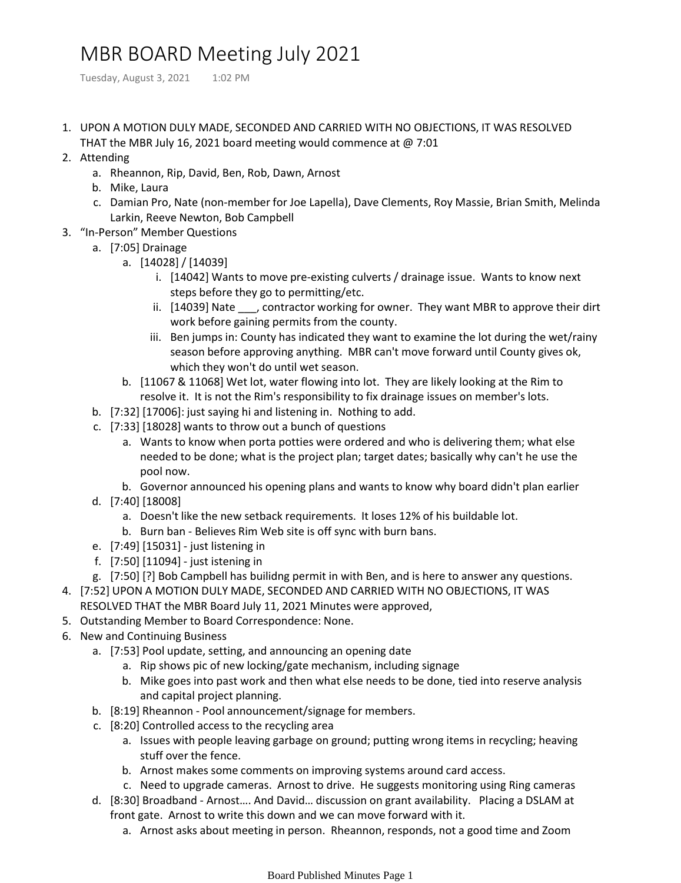## MBR BOARD Meeting July 2021

Tuesday, August 3, 2021 1:02 PM

- 1. UPON A MOTION DULY MADE, SECONDED AND CARRIED WITH NO OBJECTIONS, IT WAS RESOLVED THAT the MBR July 16, 2021 board meeting would commence at @ 7:01
- 2. Attending
	- a. Rheannon, Rip, David, Ben, Rob, Dawn, Arnost
	- b. Mike, Laura
	- c. Damian Pro, Nate (non-member for Joe Lapella), Dave Clements, Roy Massie, Brian Smith, Melinda Larkin, Reeve Newton, Bob Campbell
- 3. "In-Person" Member Questions
	- a. [7:05] Drainage
		- [14028] / [14039] a.
			- i. [14042] Wants to move pre-existing culverts / drainage issue. Wants to know next steps before they go to permitting/etc.
			- ii. [14039] Nate \_\_\_, contractor working for owner. They want MBR to approve their dirt work before gaining permits from the county.
			- iii. Ben jumps in: County has indicated they want to examine the lot during the wet/rainy season before approving anything. MBR can't move forward until County gives ok, which they won't do until wet season.
		- b. [11067 & 11068] Wet lot, water flowing into lot. They are likely looking at the Rim to resolve it. It is not the Rim's responsibility to fix drainage issues on member's lots.
	- b. [7:32] [17006]: just saying hi and listening in. Nothing to add.
	- [7:33] [18028] wants to throw out a bunch of questions c.
		- Wants to know when porta potties were ordered and who is delivering them; what else a. needed to be done; what is the project plan; target dates; basically why can't he use the pool now.
		- b. Governor announced his opening plans and wants to know why board didn't plan earlier
	- [7:40] [18008] d.
		- a. Doesn't like the new setback requirements. It loses 12% of his buildable lot.
		- b. Burn ban Believes Rim Web site is off sync with burn bans.
	- e. [7:49] [15031] just listening in
	- f. [7:50] [11094] just istening in
	- g. [7:50] [?] Bob Campbell has builidng permit in with Ben, and is here to answer any questions.
- [7:52] UPON A MOTION DULY MADE, SECONDED AND CARRIED WITH NO OBJECTIONS, IT WAS 4.
	- RESOLVED THAT the MBR Board July 11, 2021 Minutes were approved,
- 5. Outstanding Member to Board Correspondence: None.
- 6. New and Continuing Business
	- a. [7:53] Pool update, setting, and announcing an opening date
		- a. Rip shows pic of new locking/gate mechanism, including signage
		- Mike goes into past work and then what else needs to be done, tied into reserve analysis b. and capital project planning.
	- b. [8:19] Rheannon Pool announcement/signage for members.
	- c. [8:20] Controlled access to the recycling area
		- a. Issues with people leaving garbage on ground; putting wrong items in recycling; heaving stuff over the fence.
		- b. Arnost makes some comments on improving systems around card access.
		- c. Need to upgrade cameras. Arnost to drive. He suggests monitoring using Ring cameras
	- d. [8:30] Broadband Arnost.... And David... discussion on grant availability. Placing a DSLAM at front gate. Arnost to write this down and we can move forward with it.
		- a. Arnost asks about meeting in person. Rheannon, responds, not a good time and Zoom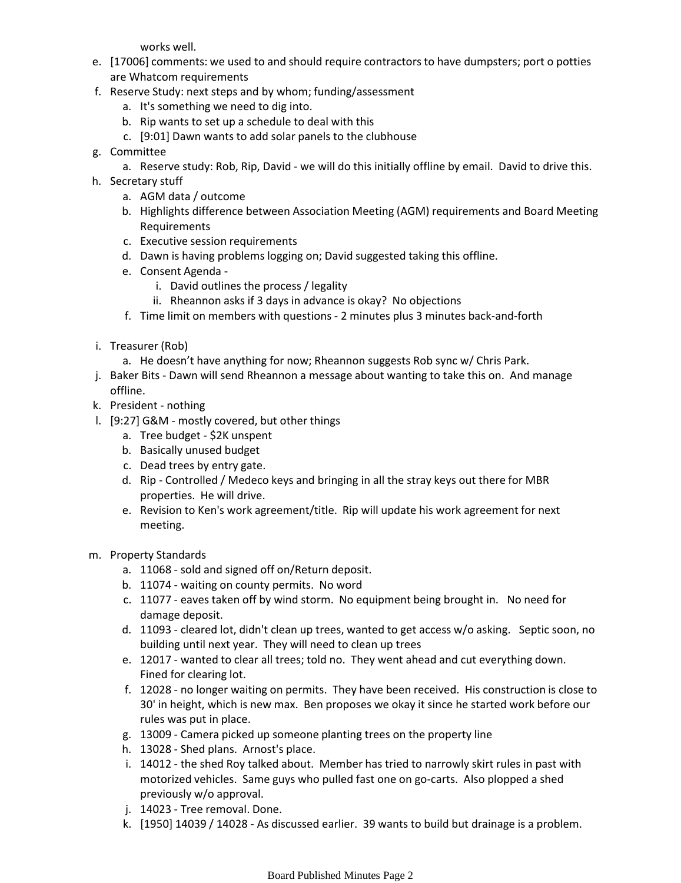works well.

- e. [17006] comments: we used to and should require contractors to have dumpsters; port o potties are Whatcom requirements
- f. Reserve Study: next steps and by whom; funding/assessment
	- a. It's something we need to dig into.
	- b. Rip wants to set up a schedule to deal with this
	- c. [9:01] Dawn wants to add solar panels to the clubhouse
- g. Committee
	- a. Reserve study: Rob, Rip, David we will do this initially offline by email. David to drive this.
- h. Secretary stuff
	- a. AGM data / outcome
	- b. Highlights difference between Association Meeting (AGM) requirements and Board Meeting Requirements
	- c. Executive session requirements
	- d. Dawn is having problems logging on; David suggested taking this offline.
	- e. Consent Agenda
		- i. David outlines the process / legality
		- ii. Rheannon asks if 3 days in advance is okay? No objections
	- f. Time limit on members with questions 2 minutes plus 3 minutes back-and-forth
- i. Treasurer (Rob)
	- a. He doesn't have anything for now; Rheannon suggests Rob sync w/ Chris Park.
- j. Baker Bits Dawn will send Rheannon a message about wanting to take this on. And manage offline.
- k. President nothing
- l. [9:27] G&M mostly covered, but other things
	- a. Tree budget \$2K unspent
	- b. Basically unused budget
	- c. Dead trees by entry gate.
	- d. Rip Controlled / Medeco keys and bringing in all the stray keys out there for MBR properties. He will drive.
	- e. Revision to Ken's work agreement/title. Rip will update his work agreement for next meeting.
- m. Property Standards
	- a. 11068 sold and signed off on/Return deposit.
	- b. 11074 waiting on county permits. No word
	- c. 11077 eaves taken off by wind storm. No equipment being brought in. No need for damage deposit.
	- d. 11093 cleared lot, didn't clean up trees, wanted to get access w/o asking. Septic soon, no building until next year. They will need to clean up trees
	- e. 12017 wanted to clear all trees; told no. They went ahead and cut everything down. Fined for clearing lot.
	- f. 12028 no longer waiting on permits. They have been received. His construction is close to 30' in height, which is new max. Ben proposes we okay it since he started work before our rules was put in place.
	- g. 13009 Camera picked up someone planting trees on the property line
	- h. 13028 Shed plans. Arnost's place.
	- i. 14012 the shed Roy talked about. Member has tried to narrowly skirt rules in past with motorized vehicles. Same guys who pulled fast one on go-carts. Also plopped a shed previously w/o approval.
	- j. 14023 Tree removal. Done.
	- k. [1950] 14039 / 14028 As discussed earlier. 39 wants to build but drainage is a problem.